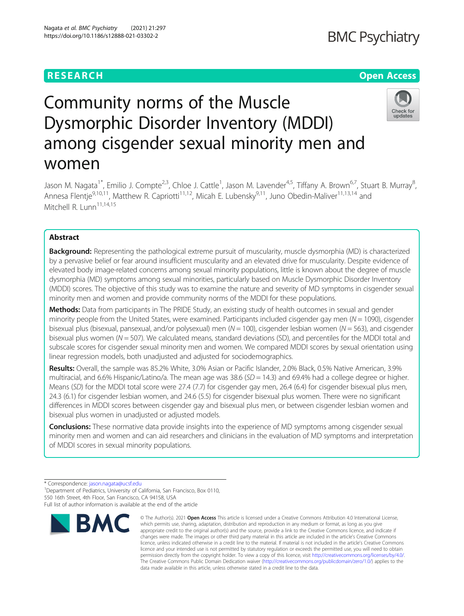Nagata et al. BMC Psychiatry (2021) 21:297 https://doi.org/10.1186/s12888-021-03302-2

# **RESEARCH CHEAR CHEAR CHEAR CHEAR CHEAR CHEAR CHEAR CHEAR CHEAR CHEAR CHEAR CHEAR CHEAR CHEAR CHEAR CHEAR CHEAR**

# Community norms of the Muscle Dysmorphic Disorder Inventory (MDDI) among cisgender sexual minority men and women



Jason M. Nagata<sup>1\*</sup>, Emilio J. Compte<sup>2,3</sup>, Chloe J. Cattle<sup>1</sup>, Jason M. Lavender<sup>4,5</sup>, Tiffany A. Brown<sup>6,7</sup>, Stuart B. Murray<sup>8</sup> ;<br>, Annesa Flentie<sup>9,10,11</sup>, Matthew R. Capriotti<sup>11,12</sup>, Micah E. Lubensky<sup>9,11</sup>, Juno Obedin-Maliver<sup>11,13,14</sup> and  $Mitchell R. Lunn<sup>11,14,15</sup>$ 

# Abstract

Background: Representing the pathological extreme pursuit of muscularity, muscle dysmorphia (MD) is characterized by a pervasive belief or fear around insufficient muscularity and an elevated drive for muscularity. Despite evidence of elevated body image-related concerns among sexual minority populations, little is known about the degree of muscle dysmorphia (MD) symptoms among sexual minorities, particularly based on Muscle Dysmorphic Disorder Inventory (MDDI) scores. The objective of this study was to examine the nature and severity of MD symptoms in cisgender sexual minority men and women and provide community norms of the MDDI for these populations.

Methods: Data from participants in The PRIDE Study, an existing study of health outcomes in sexual and gender minority people from the United States, were examined. Participants included cisgender gay men ( $N = 1090$ ), cisgender bisexual plus (bisexual, pansexual, and/or polysexual) men ( $N = 100$ ), cisgender lesbian women ( $N = 563$ ), and cisgender bisexual plus women ( $N = 507$ ). We calculated means, standard deviations (SD), and percentiles for the MDDI total and subscale scores for cisgender sexual minority men and women. We compared MDDI scores by sexual orientation using linear regression models, both unadjusted and adjusted for sociodemographics.

Results: Overall, the sample was 85.2% White, 3.0% Asian or Pacific Islander, 2.0% Black, 0.5% Native American, 3.9% multiracial, and 6.6% Hispanic/Latino/a. The mean age was 38.6 ( $SD = 14.3$ ) and 69.4% had a college degree or higher. Means (SD) for the MDDI total score were 27.4 (7.7) for cisgender gay men, 26.4 (6.4) for cisgender bisexual plus men, 24.3 (6.1) for cisgender lesbian women, and 24.6 (5.5) for cisgender bisexual plus women. There were no significant differences in MDDI scores between cisgender gay and bisexual plus men, or between cisgender lesbian women and bisexual plus women in unadjusted or adjusted models.

**Conclusions:** These normative data provide insights into the experience of MD symptoms among cisgender sexual minority men and women and can aid researchers and clinicians in the evaluation of MD symptoms and interpretation of MDDI scores in sexual minority populations.

\* Correspondence: [jason.nagata@ucsf.edu](mailto:jason.nagata@ucsf.edu) <sup>1</sup>

<sup>1</sup>Department of Pediatrics, University of California, San Francisco, Box 0110, 550 16th Street, 4th Floor, San Francisco, CA 94158, USA Full list of author information is available at the end of the article



<sup>©</sup> The Author(s), 2021 **Open Access** This article is licensed under a Creative Commons Attribution 4.0 International License, which permits use, sharing, adaptation, distribution and reproduction in any medium or format, as long as you give appropriate credit to the original author(s) and the source, provide a link to the Creative Commons licence, and indicate if changes were made. The images or other third party material in this article are included in the article's Creative Commons licence, unless indicated otherwise in a credit line to the material. If material is not included in the article's Creative Commons licence and your intended use is not permitted by statutory regulation or exceeds the permitted use, you will need to obtain permission directly from the copyright holder. To view a copy of this licence, visit [http://creativecommons.org/licenses/by/4.0/.](http://creativecommons.org/licenses/by/4.0/) The Creative Commons Public Domain Dedication waiver [\(http://creativecommons.org/publicdomain/zero/1.0/](http://creativecommons.org/publicdomain/zero/1.0/)) applies to the data made available in this article, unless otherwise stated in a credit line to the data.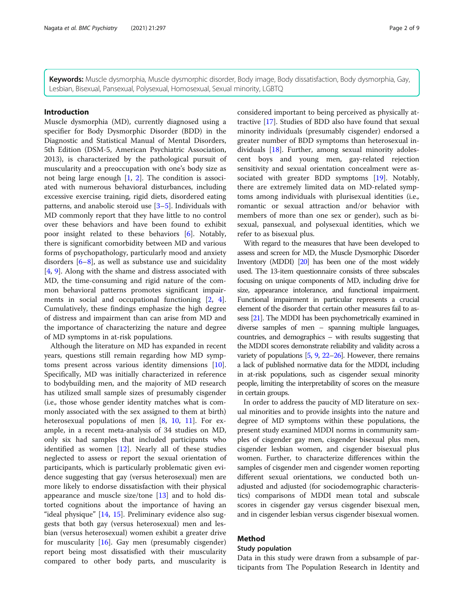Keywords: Muscle dysmorphia, Muscle dysmorphic disorder, Body image, Body dissatisfaction, Body dysmorphia, Gay, Lesbian, Bisexual, Pansexual, Polysexual, Homosexual, Sexual minority, LGBTQ

#### Introduction

Muscle dysmorphia (MD), currently diagnosed using a specifier for Body Dysmorphic Disorder (BDD) in the Diagnostic and Statistical Manual of Mental Disorders, 5th Edition (DSM-5, American Psychiatric Association, 2013), is characterized by the pathological pursuit of muscularity and a preoccupation with one's body size as not being large enough [[1,](#page-7-0) [2](#page-7-0)]. The condition is associated with numerous behavioral disturbances, including excessive exercise training, rigid diets, disordered eating patterns, and anabolic steroid use [[3](#page-7-0)–[5\]](#page-7-0). Individuals with MD commonly report that they have little to no control over these behaviors and have been found to exhibit poor insight related to these behaviors [[6\]](#page-7-0). Notably, there is significant comorbidity between MD and various forms of psychopathology, particularly mood and anxiety disorders  $[6-8]$  $[6-8]$  $[6-8]$ , as well as substance use and suicidality [[4,](#page-7-0) [9\]](#page-7-0). Along with the shame and distress associated with MD, the time-consuming and rigid nature of the common behavioral patterns promotes significant impairments in social and occupational functioning [\[2,](#page-7-0) [4](#page-7-0)]. Cumulatively, these findings emphasize the high degree of distress and impairment than can arise from MD and the importance of characterizing the nature and degree of MD symptoms in at-risk populations.

Although the literature on MD has expanded in recent years, questions still remain regarding how MD symptoms present across various identity dimensions [\[10](#page-7-0)]. Specifically, MD was initially characterized in reference to bodybuilding men, and the majority of MD research has utilized small sample sizes of presumably cisgender (i.e., those whose gender identity matches what is commonly associated with the sex assigned to them at birth) heterosexual populations of men [\[8](#page-7-0), [10,](#page-7-0) [11](#page-7-0)]. For example, in a recent meta-analysis of 34 studies on MD, only six had samples that included participants who identified as women [\[12](#page-7-0)]. Nearly all of these studies neglected to assess or report the sexual orientation of participants, which is particularly problematic given evidence suggesting that gay (versus heterosexual) men are more likely to endorse dissatisfaction with their physical appearance and muscle size/tone [[13](#page-7-0)] and to hold distorted cognitions about the importance of having an "ideal physique" [[14](#page-7-0), [15\]](#page-7-0). Preliminary evidence also suggests that both gay (versus heterosexual) men and lesbian (versus heterosexual) women exhibit a greater drive for muscularity [\[16](#page-7-0)]. Gay men (presumably cisgender) report being most dissatisfied with their muscularity compared to other body parts, and muscularity is considered important to being perceived as physically attractive [\[17](#page-7-0)]. Studies of BDD also have found that sexual minority individuals (presumably cisgender) endorsed a greater number of BDD symptoms than heterosexual individuals [[18\]](#page-7-0). Further, among sexual minority adolescent boys and young men, gay-related rejection sensitivity and sexual orientation concealment were as-sociated with greater BDD symptoms [\[19](#page-7-0)]. Notably, there are extremely limited data on MD-related symptoms among individuals with plurisexual identities (i.e., romantic or sexual attraction and/or behavior with members of more than one sex or gender), such as bisexual, pansexual, and polysexual identities, which we refer to as bisexual plus.

With regard to the measures that have been developed to assess and screen for MD, the Muscle Dysmorphic Disorder Inventory (MDDI) [\[20](#page-7-0)] has been one of the most widely used. The 13-item questionnaire consists of three subscales focusing on unique components of MD, including drive for size, appearance intolerance, and functional impairment. Functional impairment in particular represents a crucial element of the disorder that certain other measures fail to assess [\[21](#page-7-0)]. The MDDI has been psychometrically examined in diverse samples of men – spanning multiple languages, countries, and demographics – with results suggesting that the MDDI scores demonstrate reliability and validity across a variety of populations [\[5,](#page-7-0) [9,](#page-7-0) [22](#page-8-0)–[26\]](#page-8-0). However, there remains a lack of published normative data for the MDDI, including in at-risk populations, such as cisgender sexual minority people, limiting the interpretability of scores on the measure in certain groups.

In order to address the paucity of MD literature on sexual minorities and to provide insights into the nature and degree of MD symptoms within these populations, the present study examined MDDI norms in community samples of cisgender gay men, cisgender bisexual plus men, cisgender lesbian women, and cisgender bisexual plus women. Further, to characterize differences within the samples of cisgender men and cisgender women reporting different sexual orientations, we conducted both unadjusted and adjusted (for sociodemographic characteristics) comparisons of MDDI mean total and subscale scores in cisgender gay versus cisgender bisexual men, and in cisgender lesbian versus cisgender bisexual women.

# Method

# Study population

Data in this study were drawn from a subsample of participants from The Population Research in Identity and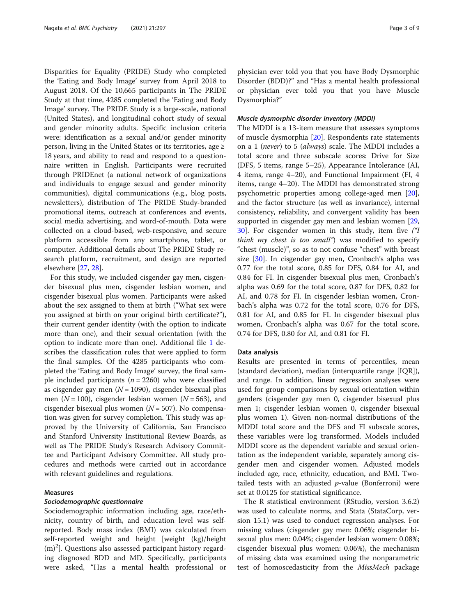Disparities for Equality (PRIDE) Study who completed the 'Eating and Body Image' survey from April 2018 to August 2018. Of the 10,665 participants in The PRIDE Study at that time, 4285 completed the 'Eating and Body Image' survey. The PRIDE Study is a large-scale, national (United States), and longitudinal cohort study of sexual and gender minority adults. Specific inclusion criteria were: identification as a sexual and/or gender minority person, living in the United States or its territories, age ≥ 18 years, and ability to read and respond to a questionnaire written in English. Participants were recruited through PRIDEnet (a national network of organizations and individuals to engage sexual and gender minority communities), digital communications (e.g., blog posts, newsletters), distribution of The PRIDE Study-branded promotional items, outreach at conferences and events, social media advertising, and word-of-mouth. Data were collected on a cloud-based, web-responsive, and secure platform accessible from any smartphone, tablet, or computer. Additional details about The PRIDE Study research platform, recruitment, and design are reported elsewhere [[27](#page-8-0), [28](#page-8-0)].

For this study, we included cisgender gay men, cisgender bisexual plus men, cisgender lesbian women, and cisgender bisexual plus women. Participants were asked about the sex assigned to them at birth ("What sex were you assigned at birth on your original birth certificate?"), their current gender identity (with the option to indicate more than one), and their sexual orientation (with the option to indicate more than one). Additional file [1](#page-6-0) describes the classification rules that were applied to form the final samples. Of the 4285 participants who completed the 'Eating and Body Image' survey, the final sample included participants ( $n = 2260$ ) who were classified as cisgender gay men  $(N = 1090)$ , cisgender bisexual plus men ( $N = 100$ ), cisgender lesbian women ( $N = 563$ ), and cisgender bisexual plus women  $(N = 507)$ . No compensation was given for survey completion. This study was approved by the University of California, San Francisco and Stanford University Institutional Review Boards, as well as The PRIDE Study's Research Advisory Committee and Participant Advisory Committee. All study procedures and methods were carried out in accordance with relevant guidelines and regulations.

#### Measures

#### Sociodemographic questionnaire

Sociodemographic information including age, race/ethnicity, country of birth, and education level was selfreported. Body mass index (BMI) was calculated from self-reported weight and height [weight (kg)/height  $(m)^2$ ]. Questions also assessed participant history regarding diagnosed BDD and MD. Specifically, participants were asked, "Has a mental health professional or physician ever told you that you have Body Dysmorphic Disorder (BDD)?" and "Has a mental health professional or physician ever told you that you have Muscle Dysmorphia?"

## Muscle dysmorphic disorder inventory (MDDI)

The MDDI is a 13-item measure that assesses symptoms of muscle dysmorphia [\[20\]](#page-7-0). Respondents rate statements on a 1 (never) to 5 (always) scale. The MDDI includes a total score and three subscale scores: Drive for Size (DFS, 5 items, range 5–25), Appearance Intolerance (AI, 4 items, range 4–20), and Functional Impairment (FI, 4 items, range 4–20). The MDDI has demonstrated strong psychometric properties among college-aged men [\[20](#page-7-0)], and the factor structure (as well as invariance), internal consistency, reliability, and convergent validity has been supported in cisgender gay men and lesbian women [[29](#page-8-0), [30\]](#page-8-0). For cisgender women in this study, item five ("I think my chest is too small") was modified to specify "chest (muscle)", so as to not confuse "chest" with breast size [[30](#page-8-0)]. In cisgender gay men, Cronbach's alpha was 0.77 for the total score, 0.85 for DFS, 0.84 for AI, and 0.84 for FI. In cisgender bisexual plus men, Cronbach's alpha was 0.69 for the total score, 0.87 for DFS, 0.82 for AI, and 0.78 for FI. In cisgender lesbian women, Cronbach's alpha was 0.72 for the total score, 0.76 for DFS, 0.81 for AI, and 0.85 for FI. In cisgender bisexual plus women, Cronbach's alpha was 0.67 for the total score, 0.74 for DFS, 0.80 for AI, and 0.81 for FI.

#### Data analysis

Results are presented in terms of percentiles, mean (standard deviation), median (interquartile range [IQR]), and range. In addition, linear regression analyses were used for group comparisons by sexual orientation within genders (cisgender gay men 0, cisgender bisexual plus men 1; cisgender lesbian women 0, cisgender bisexual plus women 1). Given non-normal distributions of the MDDI total score and the DFS and FI subscale scores, these variables were log transformed. Models included MDDI score as the dependent variable and sexual orientation as the independent variable, separately among cisgender men and cisgender women. Adjusted models included age, race, ethnicity, education, and BMI. Twotailed tests with an adjusted  $p$ -value (Bonferroni) were set at 0.0125 for statistical significance.

The R statistical environment (RStudio, version 3.6.2) was used to calculate norms, and Stata (StataCorp, version 15.1) was used to conduct regression analyses. For missing values (cisgender gay men: 0.06%; cisgender bisexual plus men: 0.04%; cisgender lesbian women: 0.08%; cisgender bisexual plus women: 0.06%), the mechanism of missing data was examined using the nonparametric test of homoscedasticity from the MissMech package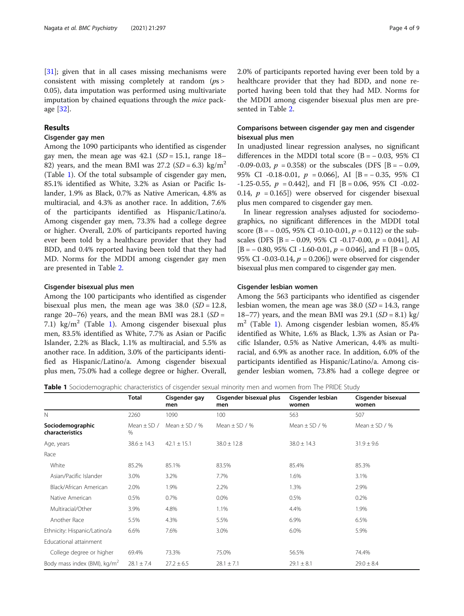<span id="page-3-0"></span>[[31\]](#page-8-0); given that in all cases missing mechanisms were consistent with missing completely at random  $(ps)$ 0.05), data imputation was performed using multivariate imputation by chained equations through the mice package [\[32](#page-8-0)].

# Results

# Cisgender gay men

Among the 1090 participants who identified as cisgender gay men, the mean age was  $42.1$  (SD = 15.1, range 18– 82) years, and the mean BMI was 27.2 ( $SD = 6.3$ ) kg/m<sup>2</sup> (Table 1). Of the total subsample of cisgender gay men, 85.1% identified as White, 3.2% as Asian or Pacific Islander, 1.9% as Black, 0.7% as Native American, 4.8% as multiracial, and 4.3% as another race. In addition, 7.6% of the participants identified as Hispanic/Latino/a. Among cisgender gay men, 73.3% had a college degree or higher. Overall, 2.0% of participants reported having ever been told by a healthcare provider that they had BDD, and 0.4% reported having been told that they had MD. Norms for the MDDI among cisgender gay men are presented in Table [2](#page-4-0).

# Cisgender bisexual plus men

Among the 100 participants who identified as cisgender bisexual plus men, the mean age was  $38.0$  (SD = 12.8, range 20–76) years, and the mean BMI was  $28.1$  (SD = 7.1) kg/m<sup>2</sup> (Table 1). Among cisgender bisexual plus men, 83.5% identified as White, 7.7% as Asian or Pacific Islander, 2.2% as Black, 1.1% as multiracial, and 5.5% as another race. In addition, 3.0% of the participants identified as Hispanic/Latino/a. Among cisgender bisexual plus men, 75.0% had a college degree or higher. Overall, 2.0% of participants reported having ever been told by a healthcare provider that they had BDD, and none reported having been told that they had MD. Norms for the MDDI among cisgender bisexual plus men are presented in Table [2.](#page-4-0)

# Comparisons between cisgender gay men and cisgender bisexual plus men

In unadjusted linear regression analyses, no significant differences in the MDDI total score  $(B = -0.03, 95\% \text{ CI})$ -0.09-0.03,  $p = 0.358$ ) or the subscales (DFS [B = -0.09, 95% CI -0.18-0.01, p = 0.066], AI [B = − 0.35, 95% CI  $-1.25-0.55$ ,  $p = 0.442$ , and FI [B = 0.06, 95% CI -0.02-0.14,  $p = 0.165$ ) were observed for cisgender bisexual plus men compared to cisgender gay men.

In linear regression analyses adjusted for sociodemographics, no significant differences in the MDDI total score (B =  $-0.05$ , 95% CI -0.10-0.01,  $p = 0.112$ ) or the subscales (DFS  $[B = -0.09, 95\% \text{ CI} -0.17 -0.00, p = 0.041]$ , AI  $[B = -0.80, 95\% \text{ CI } -1.60 - 0.01, p = 0.046]$ , and FI  $[B = 0.05,$ 95% CI -0.03-0.14,  $p = 0.206$ ) were observed for cisgender bisexual plus men compared to cisgender gay men.

#### Cisgender lesbian women

Among the 563 participants who identified as cisgender lesbian women, the mean age was  $38.0$  (*SD* = 14.3, range 18–77) years, and the mean BMI was  $29.1$  (SD = 8.1) kg/  $m<sup>2</sup>$  (Table 1). Among cisgender lesbian women, 85.4% identified as White, 1.6% as Black, 1.3% as Asian or Pacific Islander, 0.5% as Native American, 4.4% as multiracial, and 6.9% as another race. In addition, 6.0% of the participants identified as Hispanic/Latino/a. Among cisgender lesbian women, 73.8% had a college degree or

Table 1 Sociodemographic characteristics of cisgender sexual minority men and women from The PRIDE Study

|                                        | <b>Total</b>            | Cisgender gay<br>men | Cisgender bisexual plus<br>men | Cisgender lesbian<br>women             | Cisgender bisexual<br>women |
|----------------------------------------|-------------------------|----------------------|--------------------------------|----------------------------------------|-----------------------------|
| $\mathbb N$                            | 2260                    | 1090                 | 100                            | 563                                    | 507                         |
| Sociodemographic<br>characteristics    | Mean $\pm$ SD /<br>$\%$ | Mean $+$ SD / %      | Mean $\pm$ SD / %              | Mean $\pm$ SD / %<br>Mean $\pm$ SD / % |                             |
| Age, years                             | $38.6 \pm 14.3$         | $42.1 \pm 15.1$      | $38.0 \pm 12.8$                | $38.0 \pm 14.3$                        | $31.9 \pm 9.6$              |
| Race                                   |                         |                      |                                |                                        |                             |
| White                                  | 85.2%                   | 85.1%                | 83.5%                          | 85.4%                                  | 85.3%                       |
| Asian/Pacific Islander                 | 3.0%                    | 3.2%                 | 7.7%                           | 1.6%                                   | 3.1%                        |
| Black/African American                 | 2.0%                    | 1.9%                 | 2.2%                           | 1.3%                                   | 2.9%                        |
| Native American                        | 0.5%                    | $0.7\%$              | $0.0\%$                        | 0.5%                                   | 0.2%                        |
| Multiracial/Other                      | 3.9%                    | 4.8%                 | 1.1%                           | 4.4%                                   | 1.9%                        |
| Another Race                           | 5.5%                    | 4.3%                 | 5.5%                           | 6.9%                                   | 6.5%                        |
| Ethnicity: Hispanic/Latino/a           | 6.6%                    | 7.6%                 | 3.0%                           | 6.0%                                   | 5.9%                        |
| Educational attainment                 |                         |                      |                                |                                        |                             |
| College degree or higher               | 69.4%                   | 73.3%                | 75.0%                          | 56.5%                                  | 74.4%                       |
| Body mass index (BMI), $\text{kg/m}^2$ | $28.1 \pm 7.4$          | $27.2 \pm 6.5$       | $28.1 \pm 7.1$                 | $29.1 \pm 8.1$                         | $29.0 \pm 8.4$              |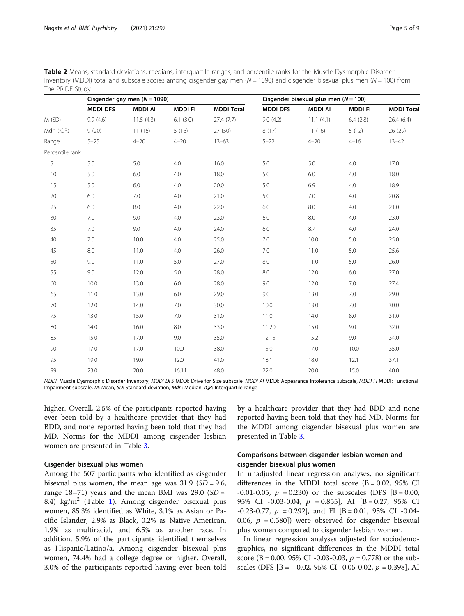<span id="page-4-0"></span>

| Table 2 Means, standard deviations, medians, interquartile ranges, and percentile ranks for the Muscle Dysmorphic Disorder           |
|--------------------------------------------------------------------------------------------------------------------------------------|
| Inventory (MDDI) total and subscale scores among cisgender gay men ( $N = 1090$ ) and cisgender bisexual plus men ( $N = 100$ ) from |
| The PRIDE Study                                                                                                                      |

|                 |                 | Cisgender gay men $(N = 1090)$ |               |                   |                 | Cisgender bisexual plus men ( $N = 100$ ) |               |                   |  |
|-----------------|-----------------|--------------------------------|---------------|-------------------|-----------------|-------------------------------------------|---------------|-------------------|--|
|                 | <b>MDDI DFS</b> | <b>MDDI AI</b>                 | <b>MDDIFI</b> | <b>MDDI Total</b> | <b>MDDI DFS</b> | <b>MDDI AI</b>                            | <b>MDDIFI</b> | <b>MDDI Total</b> |  |
| M (SD)          | 9.9(4.6)        | 11.5(4.3)                      | 6.1(3.0)      | 27.4(7.7)         | 9.0(4.2)        | 11.1(4.1)                                 | 6.4(2.8)      | 26.4(6.4)         |  |
| Mdn (IQR)       | 9(20)           | 11(16)                         | 5(16)         | 27(50)            | 8(17)           | 11(16)                                    | 5(12)         | 26 (29)           |  |
| Range           | $5 - 25$        | $4 - 20$                       | $4 - 20$      | $13 - 63$         | $5 - 22$        | $4 - 20$                                  | $4 - 16$      | $13 - 42$         |  |
| Percentile rank |                 |                                |               |                   |                 |                                           |               |                   |  |
| 5               | 5.0             | 5.0                            | 4.0           | 16.0              | 5.0             | 5.0                                       | 4.0           | 17.0              |  |
| 10              | 5.0             | 6.0                            | 4.0           | 18.0              | 5.0             | 6.0                                       | 4.0           | 18.0              |  |
| 15              | 5.0             | 6.0                            | 4.0           | 20.0              | 5.0             | 6.9                                       | 4.0           | 18.9              |  |
| 20              | 6.0             | 7.0                            | 4.0           | 21.0              | 5.0             | 7.0                                       | 4.0           | 20.8              |  |
| 25              | 6.0             | 8.0                            | 4.0           | 22.0              | 6.0             | 8.0                                       | 4.0           | 21.0              |  |
| 30              | 7.0             | 9.0                            | 4.0           | 23.0              | 6.0             | 8.0                                       | 4.0           | 23.0              |  |
| 35              | 7.0             | 9.0                            | 4.0           | 24.0              | 6.0             | 8.7                                       | 4.0           | 24.0              |  |
| 40              | 7.0             | 10.0                           | 4.0           | 25.0              | 7.0             | 10.0                                      | 5.0           | 25.0              |  |
| 45              | 8.0             | 11.0                           | 4.0           | 26.0              | 7.0             | 11.0                                      | 5.0           | 25.6              |  |
| 50              | 9.0             | 11.0                           | 5.0           | 27.0              | 8.0             | 11.0                                      | 5.0           | 26.0              |  |
| 55              | 9.0             | 12.0                           | 5.0           | 28.0              | 8.0             | 12.0                                      | 6.0           | 27.0              |  |
| 60              | 10.0            | 13.0                           | 6.0           | 28.0              | 9.0             | 12.0                                      | 7.0           | 27.4              |  |
| 65              | 11.0            | 13.0                           | 6.0           | 29.0              | 9.0             | 13.0                                      | 7.0           | 29.0              |  |
| 70              | 12.0            | 14.0                           | 7.0           | 30.0              | 10.0            | 13.0                                      | 7.0           | 30.0              |  |
| 75              | 13.0            | 15.0                           | 7.0           | 31.0              | 11.0            | 14.0                                      | 8.0           | 31.0              |  |
| 80              | 14.0            | 16.0                           | 8.0           | 33.0              | 11.20           | 15.0                                      | 9.0           | 32.0              |  |
| 85              | 15.0            | 17.0                           | 9.0           | 35.0              | 12.15           | 15.2                                      | 9.0           | 34.0              |  |
| 90              | 17.0            | 17.0                           | 10.0          | 38.0              | 15.0            | 17.0                                      | 10.0          | 35.0              |  |
| 95              | 19.0            | 19.0                           | 12.0          | 41.0              | 18.1            | 18.0                                      | 12.1          | 37.1              |  |
| 99              | 23.0            | 20.0                           | 16.11         | 48.0              | 22.0            | 20.0                                      | 15.0          | 40.0              |  |

MDDI: Muscle Dysmorphic Disorder Inventory, MDDI DFS MDDI: Drive for Size subscale, MDDI AI MDDI: Appearance Intolerance subscale, MDDI FI MDDI: Functional Impairment subscale, M: Mean, SD: Standard deviation, Mdn: Median, IQR: Interquartile range

higher. Overall, 2.5% of the participants reported having ever been told by a healthcare provider that they had BDD, and none reported having been told that they had MD. Norms for the MDDI among cisgender lesbian women are presented in Table [3](#page-5-0).

# Cisgender bisexual plus women

Among the 507 participants who identified as cisgender bisexual plus women, the mean age was  $31.9$  (SD = 9.6, range  $18-71$ ) years and the mean BMI was  $29.0$  (SD = 8.4) kg/m<sup>2</sup> (Table [1\)](#page-3-0). Among cisgender bisexual plus women, 85.3% identified as White, 3.1% as Asian or Pacific Islander, 2.9% as Black, 0.2% as Native American, 1.9% as multiracial, and 6.5% as another race. In addition, 5.9% of the participants identified themselves as Hispanic/Latino/a. Among cisgender bisexual plus women, 74.4% had a college degree or higher. Overall, 3.0% of the participants reported having ever been told

by a healthcare provider that they had BDD and none reported having been told that they had MD. Norms for the MDDI among cisgender bisexual plus women are presented in Table [3](#page-5-0).

# Comparisons between cisgender lesbian women and cisgender bisexual plus women

In unadjusted linear regression analyses, no significant differences in the MDDI total score  $(B = 0.02, 95\%$  CI -0.01-0.05,  $p = 0.230$  or the subscales (DFS [B = 0.00, 95% CI -0.03-0.04,  $p = 0.855$ , AI  $[B = 0.27, 95\%$  CI  $-0.23-0.77$ ,  $p = 0.292$ , and FI [B = 0.01, 95% CI -0.04-0.06,  $p = 0.580$ ) were observed for cisgender bisexual plus women compared to cisgender lesbian women.

In linear regression analyses adjusted for sociodemographics, no significant differences in the MDDI total score (B = 0.00, 95% CI -0.03-0.03,  $p = 0.778$ ) or the subscales (DFS  $[B = -0.02, 95\% \text{ CI } -0.05 - 0.02, p = 0.398]$ , AI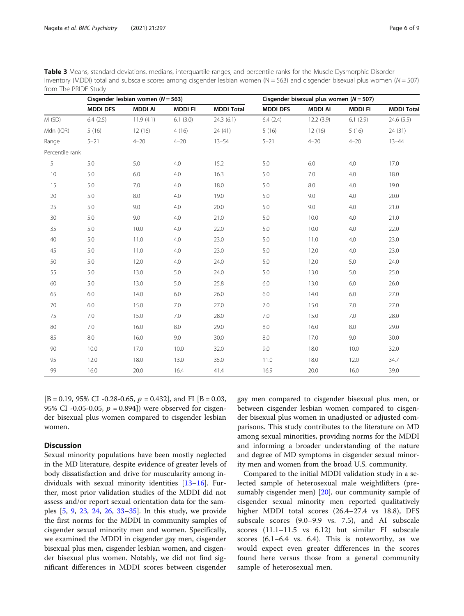|                 |                 | Cisgender lesbian women ( $N = 563$ ) |               |                   |                 | Cisgender bisexual plus women ( $N = 507$ ) |               |                   |  |
|-----------------|-----------------|---------------------------------------|---------------|-------------------|-----------------|---------------------------------------------|---------------|-------------------|--|
|                 | <b>MDDI DFS</b> | <b>MDDI AI</b>                        | <b>MDDIFI</b> | <b>MDDI Total</b> | <b>MDDI DFS</b> | <b>MDDI AI</b>                              | <b>MDDIFI</b> | <b>MDDI Total</b> |  |
| M (SD)          | 6.4(2.5)        | 11.9(4.1)                             | 6.1(3.0)      | 24.3(6.1)         | 6.4(2.4)        | 12.2(3.9)                                   | 6.1(2.9)      | 24.6(5.5)         |  |
| Mdn (IQR)       | 5(16)           | 12(16)                                | 4(16)         | 24(41)            | 5(16)           | 12(16)                                      | 5(16)         | 24 (31)           |  |
| Range           | $5 - 21$        | $4 - 20$                              | $4 - 20$      | $13 - 54$         | $5 - 21$        | $4 - 20$                                    | $4 - 20$      | $13 - 44$         |  |
| Percentile rank |                 |                                       |               |                   |                 |                                             |               |                   |  |
| 5               | 5.0             | 5.0                                   | 4.0           | 15.2              | 5.0             | 6.0                                         | 4.0           | 17.0              |  |
| 10              | 5.0             | 6.0                                   | 4.0           | 16.3              | 5.0             | 7.0                                         | 4.0           | 18.0              |  |
| 15              | 5.0             | 7.0                                   | 4.0           | 18.0              | 5.0             | 8.0                                         | 4.0           | 19.0              |  |
| $20\,$          | 5.0             | $8.0\,$                               | 4.0           | 19.0              | 5.0             | $9.0\,$                                     | 4.0           | 20.0              |  |
| 25              | 5.0             | 9.0                                   | 4.0           | 20.0              | 5.0             | 9.0                                         | 4.0           | 21.0              |  |
| 30              | 5.0             | 9.0                                   | 4.0           | 21.0              | 5.0             | 10.0                                        | 4.0           | 21.0              |  |
| 35              | 5.0             | 10.0                                  | 4.0           | 22.0              | 5.0             | 10.0                                        | 4.0           | 22.0              |  |
| 40              | 5.0             | 11.0                                  | 4.0           | 23.0              | 5.0             | 11.0                                        | 4.0           | 23.0              |  |
| 45              | 5.0             | 11.0                                  | 4.0           | 23.0              | 5.0             | 12.0                                        | 4.0           | 23.0              |  |
| 50              | 5.0             | 12.0                                  | 4.0           | 24.0              | 5.0             | 12.0                                        | 5.0           | 24.0              |  |
| 55              | 5.0             | 13.0                                  | 5.0           | 24.0              | 5.0             | 13.0                                        | 5.0           | 25.0              |  |
| 60              | 5.0             | 13.0                                  | 5.0           | 25.8              | 6.0             | 13.0                                        | 6.0           | 26.0              |  |
| 65              | 6.0             | 14.0                                  | 6.0           | 26.0              | $6.0\,$         | 14.0                                        | 6.0           | 27.0              |  |
| 70              | 6.0             | 15.0                                  | 7.0           | 27.0              | 7.0             | 15.0                                        | 7.0           | 27.0              |  |
| 75              | 7.0             | 15.0                                  | 7.0           | 28.0              | 7.0             | 15.0                                        | 7.0           | 28.0              |  |
| 80              | 7.0             | 16.0                                  | 8.0           | 29.0              | $8.0\,$         | 16.0                                        | 8.0           | 29.0              |  |
| 85              | 8.0             | 16.0                                  | 9.0           | 30.0              | 8.0             | 17.0                                        | 9.0           | 30.0              |  |
| 90              | 10.0            | 17.0                                  | 10.0          | 32.0              | 9.0             | 18.0                                        | 10.0          | 32.0              |  |
| 95              | 12.0            | 18.0                                  | 13.0          | 35.0              | 11.0            | 18.0                                        | 12.0          | 34.7              |  |
| 99              | 16.0            | 20.0                                  | 16.4          | 41.4              | 16.9            | 20.0                                        | 16.0          | 39.0              |  |

<span id="page-5-0"></span>Table 3 Means, standard deviations, medians, interquartile ranges, and percentile ranks for the Muscle Dysmorphic Disorder Inventory (MDDI) total and subscale scores among cisgender lesbian women (N = 563) and cisgender bisexual plus women (N = 507) from The PRIDE Study

 $[B = 0.19, 95\% \text{ CI } -0.28 -0.65, p = 0.432], \text{ and } FI [B = 0.03,$ 95% CI -0.05-0.05,  $p = 0.894$ ]) were observed for cisgender bisexual plus women compared to cisgender lesbian women.

# **Discussion**

Sexual minority populations have been mostly neglected in the MD literature, despite evidence of greater levels of body dissatisfaction and drive for muscularity among individuals with sexual minority identities [[13](#page-7-0)–[16](#page-7-0)]. Further, most prior validation studies of the MDDI did not assess and/or report sexual orientation data for the samples [[5,](#page-7-0) [9,](#page-7-0) [23,](#page-8-0) [24,](#page-8-0) [26,](#page-8-0) [33](#page-8-0)–[35\]](#page-8-0). In this study, we provide the first norms for the MDDI in community samples of cisgender sexual minority men and women. Specifically, we examined the MDDI in cisgender gay men, cisgender bisexual plus men, cisgender lesbian women, and cisgender bisexual plus women. Notably, we did not find significant differences in MDDI scores between cisgender

gay men compared to cisgender bisexual plus men, or between cisgender lesbian women compared to cisgender bisexual plus women in unadjusted or adjusted comparisons. This study contributes to the literature on MD among sexual minorities, providing norms for the MDDI and informing a broader understanding of the nature and degree of MD symptoms in cisgender sexual minority men and women from the broad U.S. community.

Compared to the initial MDDI validation study in a selected sample of heterosexual male weightlifters (presumably cisgender men) [[20\]](#page-7-0), our community sample of cisgender sexual minority men reported qualitatively higher MDDI total scores (26.4–27.4 vs 18.8), DFS subscale scores (9.0–9.9 vs. 7.5), and AI subscale scores (11.1–11.5 vs 6.12) but similar FI subscale scores (6.1–6.4 vs. 6.4). This is noteworthy, as we would expect even greater differences in the scores found here versus those from a general community sample of heterosexual men.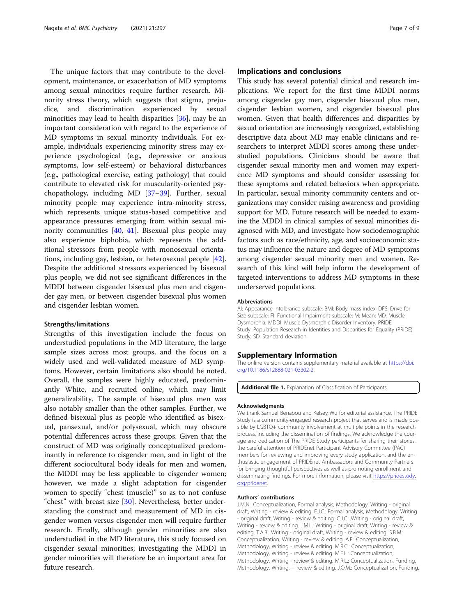<span id="page-6-0"></span>The unique factors that may contribute to the development, maintenance, or exacerbation of MD symptoms among sexual minorities require further research. Minority stress theory, which suggests that stigma, prejudice, and discrimination experienced by sexual minorities may lead to health disparities [\[36](#page-8-0)], may be an important consideration with regard to the experience of MD symptoms in sexual minority individuals. For example, individuals experiencing minority stress may experience psychological (e.g., depressive or anxious symptoms, low self-esteem) or behavioral disturbances (e.g., pathological exercise, eating pathology) that could contribute to elevated risk for muscularity-oriented psychopathology, including MD [\[37](#page-8-0)–[39\]](#page-8-0). Further, sexual minority people may experience intra-minority stress, which represents unique status-based competitive and appearance pressures emerging from within sexual minority communities [\[40](#page-8-0), [41\]](#page-8-0). Bisexual plus people may also experience biphobia, which represents the additional stressors from people with monosexual orientations, including gay, lesbian, or heterosexual people [\[42](#page-8-0)]. Despite the additional stressors experienced by bisexual plus people, we did not see significant differences in the MDDI between cisgender bisexual plus men and cisgender gay men, or between cisgender bisexual plus women and cisgender lesbian women.

#### Strengths/limitations

Strengths of this investigation include the focus on understudied populations in the MD literature, the large sample sizes across most groups, and the focus on a widely used and well-validated measure of MD symptoms. However, certain limitations also should be noted. Overall, the samples were highly educated, predominantly White, and recruited online, which may limit generalizability. The sample of bisexual plus men was also notably smaller than the other samples. Further, we defined bisexual plus as people who identified as bisexual, pansexual, and/or polysexual, which may obscure potential differences across these groups. Given that the construct of MD was originally conceptualized predominantly in reference to cisgender men, and in light of the different sociocultural body ideals for men and women, the MDDI may be less applicable to cisgender women; however, we made a slight adaptation for cisgender women to specify "chest (muscle)" so as to not confuse "chest" with breast size [\[30](#page-8-0)]. Nevertheless, better understanding the construct and measurement of MD in cisgender women versus cisgender men will require further research. Finally, although gender minorities are also understudied in the MD literature, this study focused on cisgender sexual minorities; investigating the MDDI in gender minorities will therefore be an important area for future research.

## Implications and conclusions

This study has several potential clinical and research implications. We report for the first time MDDI norms among cisgender gay men, cisgender bisexual plus men, cisgender lesbian women, and cisgender bisexual plus women. Given that health differences and disparities by sexual orientation are increasingly recognized, establishing descriptive data about MD may enable clinicians and researchers to interpret MDDI scores among these understudied populations. Clinicians should be aware that cisgender sexual minority men and women may experience MD symptoms and should consider assessing for these symptoms and related behaviors when appropriate. In particular, sexual minority community centers and organizations may consider raising awareness and providing support for MD. Future research will be needed to examine the MDDI in clinical samples of sexual minorities diagnosed with MD, and investigate how sociodemographic factors such as race/ethnicity, age, and socioeconomic status may influence the nature and degree of MD symptoms among cisgender sexual minority men and women. Research of this kind will help inform the development of targeted interventions to address MD symptoms in these underserved populations.

#### Abbreviations

AI: Appearance Intolerance subscale; BMI: Body mass index; DFS: Drive for Size subscale; FI: Functional Impairment subscale; M: Mean; MD: Muscle Dysmorphia; MDDI: Muscle Dysmorphic Disorder Inventory; PRIDE Study: Population Research in Identities and Disparities for Equality (PRIDE) Study; SD: Standard deviation

#### Supplementary Information

The online version contains supplementary material available at [https://doi.](https://doi.org/10.1186/s12888-021-03302-2) [org/10.1186/s12888-021-03302-2.](https://doi.org/10.1186/s12888-021-03302-2)

Additional file 1. Explanation of Classification of Participants.

#### Acknowledgments

We thank Samuel Benabou and Kelsey Wu for editorial assistance. The PRIDE Study is a community-engaged research project that serves and is made possible by LGBTQ+ community involvement at multiple points in the research process, including the dissemination of findings. We acknowledge the courage and dedication of The PRIDE Study participants for sharing their stories, the careful attention of PRIDEnet Participant Advisory Committee (PAC) members for reviewing and improving every study application, and the enthusiastic engagement of PRIDEnet Ambassadors and Community Partners for bringing thoughtful perspectives as well as promoting enrollment and disseminating findings. For more information, please visit [https://pridestudy.](https://pridestudy.org/pridenet) [org/pridenet.](https://pridestudy.org/pridenet)

#### Authors' contributions

J.M.N.: Conceptualization, Formal analysis, Methodology, Writing - original draft, Writing - review & editing. E.J.C.: Formal analysis, Methodology, Writing - original draft, Writing - review & editing. C.J.C.: Writing - original draft, Writing - review & editing. J.M.L.: Writing - original draft, Writing - review & editing. T.A.B.: Writing - original draft, Writing - review & editing. S.B.M.: Conceptualization, Writing - review & editing. A.F.: Conceptualization, Methodology, Writing - review & editing. M.R.C.: Conceptualization, Methodology, Writing - review & editing. M.E.L.: Conceptualization, Methodology, Writing - review & editing. M.R.L.: Conceptualization, Funding, Methodology, Writing, - review & editing. J.O.M.: Conceptualization, Funding,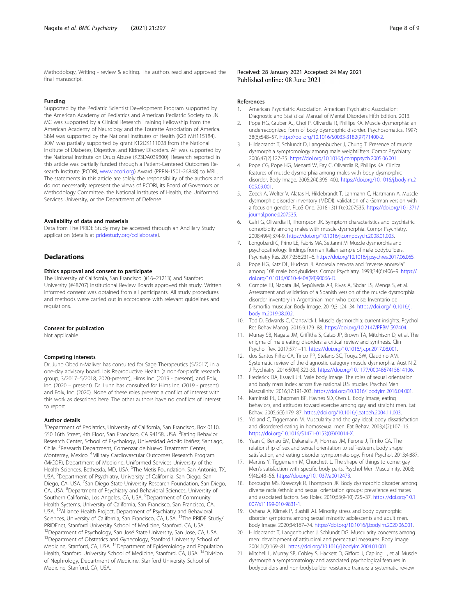<span id="page-7-0"></span>Methodology, Writing - review & editing. The authors read and approved the final manuscript.

## Funding

Supported by the Pediatric Scientist Development Program supported by the American Academy of Pediatrics and American Pediatric Society to JN. MC was supported by a Clinical Research Training Fellowship from the American Academy of Neurology and the Tourette Association of America. SBM was supported by the National Institutes of Health (K23 MH115184). JOM was partially supported by grant K12DK111028 from the National Institute of Diabetes, Digestive, and Kidney Disorders. AF was supported by the National Institute on Drug Abuse (K23DA039800). Research reported in this article was partially funded through a Patient-Centered Outcomes Research Institute (PCORI, [www.pcori.org](http://www.pcori.org)) Award (PPRN-1501-26848) to MRL. The statements in this article are solely the responsibility of the authors and do not necessarily represent the views of PCORI, its Board of Governors or Methodology Committee, the National Institutes of Health, the Uniformed Services University, or the Department of Defense.

#### Availability of data and materials

Data from The PRIDE Study may be accessed through an Ancillary Study application (details at [pridestudy.org/collaborate](http://www.pridestudy.org/collaborate)).

## Declarations

# Ethics approval and consent to participate

The University of California, San Francisco (#16–21213) and Stanford University (#48707) Institutional Review Boards approved this study. Written informed consent was obtained from all participants. All study procedures and methods were carried out in accordance with relevant guidelines and regulations.

#### Consent for publication

Not applicable.

#### Competing interests

Dr. Juno Obedin-Maliver has consulted for Sage Therapeutics (5/2017) in a one-day advisory board, Ibis Reproductive Health (a non-for-profit research group; 3/2017–5/2018, 2020-present), Hims Inc. (2019 - present), and Folx, Inc. (2020 – present). Dr. Lunn has consulted for Hims Inc. (2019 - present) and Folx, Inc. (2020). None of these roles present a conflict of interest with this work as described here. The other authors have no conflicts of interest to report.

#### Author details

<sup>1</sup>Department of Pediatrics, University of California, San Francisco, Box 0110, 550 16th Street, 4th Floor, San Francisco, CA 94158, USA. <sup>2</sup>Eating Behavior Research Center, School of Psychology, Universidad Adolfo Ibáñez, Santiago, Chile. <sup>3</sup>Research Department, Comenzar de Nuevo Treatment Center, Monterrey, Mexico. <sup>4</sup>Military Cardiovascular Outcomes Research Program (MiCOR), Department of Medicine, Uniformed Services University of the Health Sciences, Bethesda, MD, USA. <sup>5</sup>The Metis Foundation, San Antonio, TX, USA. <sup>6</sup>Department of Psychiatry, University of California, San Diego, San Diego, CA, USA. <sup>7</sup>San Diego State University Research Foundation, San Diego, CA, USA. <sup>8</sup> Department of Psychiatry and Behavioral Sciences, University of Southern California, Los Angeles, CA, USA. <sup>9</sup>Department of Community Health Systems, University of California, San Francisco, San Francisco, CA, USA. <sup>10</sup>Alliance Health Project, Department of Psychiatry and Behavioral Sciences, University of California, San Francisco, CA, USA. <sup>11</sup>The PRIDE Study/ PRIDEnet, Stanford University School of Medicine, Stanford, CA, USA. 12Department of Psychology, San José State University, San Jose, CA, USA.

<sup>13</sup>Department of Obstetrics and Gynecology, Stanford University School of Medicine, Stanford, CA, USA. <sup>14</sup>Department of Epidemiology and Population Health, Stanford University School of Medicine, Stanford, CA, USA. <sup>15</sup>Division of Nephrology, Department of Medicine, Stanford University School of Medicine, Stanford, CA, USA.

Received: 28 January 2021 Accepted: 24 May 2021 Published online: 08 June 2021

#### References

- 1. American Psychiatric Association. American Psychiatric Association: Diagnostic and Statistical Manual of Mental Disorders Fifth Edition. 2013.
- 2. Pope HG, Gruber AJ, Choi P, Olivardia R, Phillips KA. Muscle dysmorphia: an underrecognized form of body dysmorphic disorder. Psychosomatics. 1997; 38(6):548–57. [https://doi.org/10.1016/S0033-3182\(97\)71400-2.](https://doi.org/10.1016/S0033-3182(97)71400-2)
- 3. Hildebrandt T, Schlundt D, Langenbucher J, Chung T. Presence of muscle dysmorphia symptomology among male weightlifters. Compr Psychiatry. 2006;47(2):127-35. <https://doi.org/10.1016/j.comppsych.2005.06.001>.
- 4. Pope CG, Pope HG, Menard W, Fay C, Olivardia R, Phillips KA. Clinical features of muscle dysmorphia among males with body dysmorphic disorder. Body Image. 2005;2(4):395–400. [https://doi.org/10.1016/j.bodyim.2](https://doi.org/10.1016/j.bodyim.2005.09.001) [005.09.001](https://doi.org/10.1016/j.bodyim.2005.09.001).
- 5. Zeeck A, Welter V, Alatas H, Hildebrandt T, Lahmann C, Hartmann A. Muscle dysmorphic disorder inventory (MDDI): validation of a German version with a focus on gender. PLoS One. 2018;13(11):e0207535. [https://doi.org/10.1371/](https://doi.org/10.1371/journal.pone.0207535) [journal.pone.0207535](https://doi.org/10.1371/journal.pone.0207535).
- 6. Cafri G, Olivardia R, Thompson JK. Symptom characteristics and psychiatric comorbidity among males with muscle dysmorphia. Compr Psychiatry. 2008;49(4):374-9. [https://doi.org/10.1016/j.comppsych.2008.01.003.](https://doi.org/10.1016/j.comppsych.2008.01.003)
- 7. Longobardi C, Prino LE, Fabris MA, Settanni M. Muscle dysmorphia and psychopathology: findings from an Italian sample of male bodybuilders. Psychiatry Res. 2017;256:231–6. <https://doi.org/10.1016/j.psychres.2017.06.065>.
- 8. Pope HG, Katz DL, Hudson JI. Anorexia nervosa and "reverse anorexia" among 108 male bodybuilders. Compr Psychiatry. 1993;34(6):406–9. [https://](https://doi.org/10.1016/0010-440X(93)90066-D) [doi.org/10.1016/0010-440X\(93\)90066-D](https://doi.org/10.1016/0010-440X(93)90066-D).
- Compte EJ, Nagata JM, Sepúlveda AR, Rivas A, Sbdar LS, Menga S, et al. Assessment and validation of a Spanish version of the muscle dysmorphia disorder inventory in Argentinian men who exercise: Inventario de Dismorfia muscular. Body Image. 2019;31:24–34. [https://doi.org/10.1016/j.](https://doi.org/10.1016/j.bodyim.2019.08.002) [bodyim.2019.08.002.](https://doi.org/10.1016/j.bodyim.2019.08.002)
- 10. Tod D, Edwards C, Cranswick I. Muscle dysmorphia: current insights. Psychol Res Behav Manag. 2016;9:179–88. [https://doi.org/10.2147/PRBM.S97404.](https://doi.org/10.2147/PRBM.S97404)
- 11. Murray SB, Nagata JM, Griffiths S, Calzo JP, Brown TA, Mitchison D, et al. The enigma of male eating disorders: a critical review and synthesis. Clin Psychol Rev. 2017;57:1–11. [https://doi.org/10.1016/j.cpr.2017.08.001.](https://doi.org/10.1016/j.cpr.2017.08.001)
- 12. dos Santos Filho CA, Tirico PP, Stefano SC, Touyz SW, Claudino AM. Systematic review of the diagnostic category muscle dysmorphia. Aust N Z J Psychiatry. 2016;50(4):322-33. <https://doi.org/10.1177/0004867415614106>.
- 13. Frederick DA, Essayli JH. Male body image: The roles of sexual orientation and body mass index across five national U.S. studies. Psychol Men Masculinity. 2016;17:191-203. <https://doi.org/10.1016/j.bodyim.2016.04.001>.
- 14. Kaminski PL, Chapman BP, Haynes SD, Own L. Body image, eating behaviors, and attitudes toward exercise among gay and straight men. Eat Behav. 2005;6(3):179–87. [https://doi.org/10.1016/j.eatbeh.2004.11.003.](https://doi.org/10.1016/j.eatbeh.2004.11.003)
- 15. Yelland C, Tiggemann M. Muscularity and the gay ideal: body dissatisfaction and disordered eating in homosexual men. Eat Behav. 2003;4(2):107–16. [https://doi.org/10.1016/S1471-0153\(03\)00014-X](https://doi.org/10.1016/S1471-0153(03)00014-X).
- 16. Yean C, Benau EM, Dakanalis A, Hormes JM, Perone J, Timko CA. The relationship of sex and sexual orientation to self-esteem, body shape satisfaction, and eating disorder symptomatology. Front Psychol. 2013;4:887.
- 17. Martins Y, Tiggemann M, Churchett L. The shape of things to come: gay Men's satisfaction with specific body parts. Psychol Men Masculinity. 2008; 9(4):248–56. [https://doi.org/10.1037/a0012473.](https://doi.org/10.1037/a0012473)
- 18. Boroughs MS, Krawczyk R, Thompson JK. Body dysmorphic disorder among diverse racial/ethnic and sexual orientation groups: prevalence estimates and associated factors. Sex Roles. 2010;63(9-10):725–37. [https://doi.org/10.1](https://doi.org/10.1007/s11199-010-9831-1) [007/s11199-010-9831-1.](https://doi.org/10.1007/s11199-010-9831-1)
- 19. Oshana A, Klimek P, Blashill AJ. Minority stress and body dysmorphic disorder symptoms among sexual minority adolescents and adult men. Body Image. 2020;34:167–74. <https://doi.org/10.1016/j.bodyim.2020.06.001>.
- 20. Hildebrandt T, Langenbucher J, Schlundt DG. Muscularity concerns among men: development of attitudinal and perceptual measures. Body Image. 2004;1(2):169–81. <https://doi.org/10.1016/j.bodyim.2004.01.001>.
- 21. Mitchell L, Murray SB, Cobley S, Hackett D, Gifford J, Capling L, et al. Muscle dysmorphia symptomatology and associated psychological features in bodybuilders and non-bodybuilder resistance trainers: a systematic review